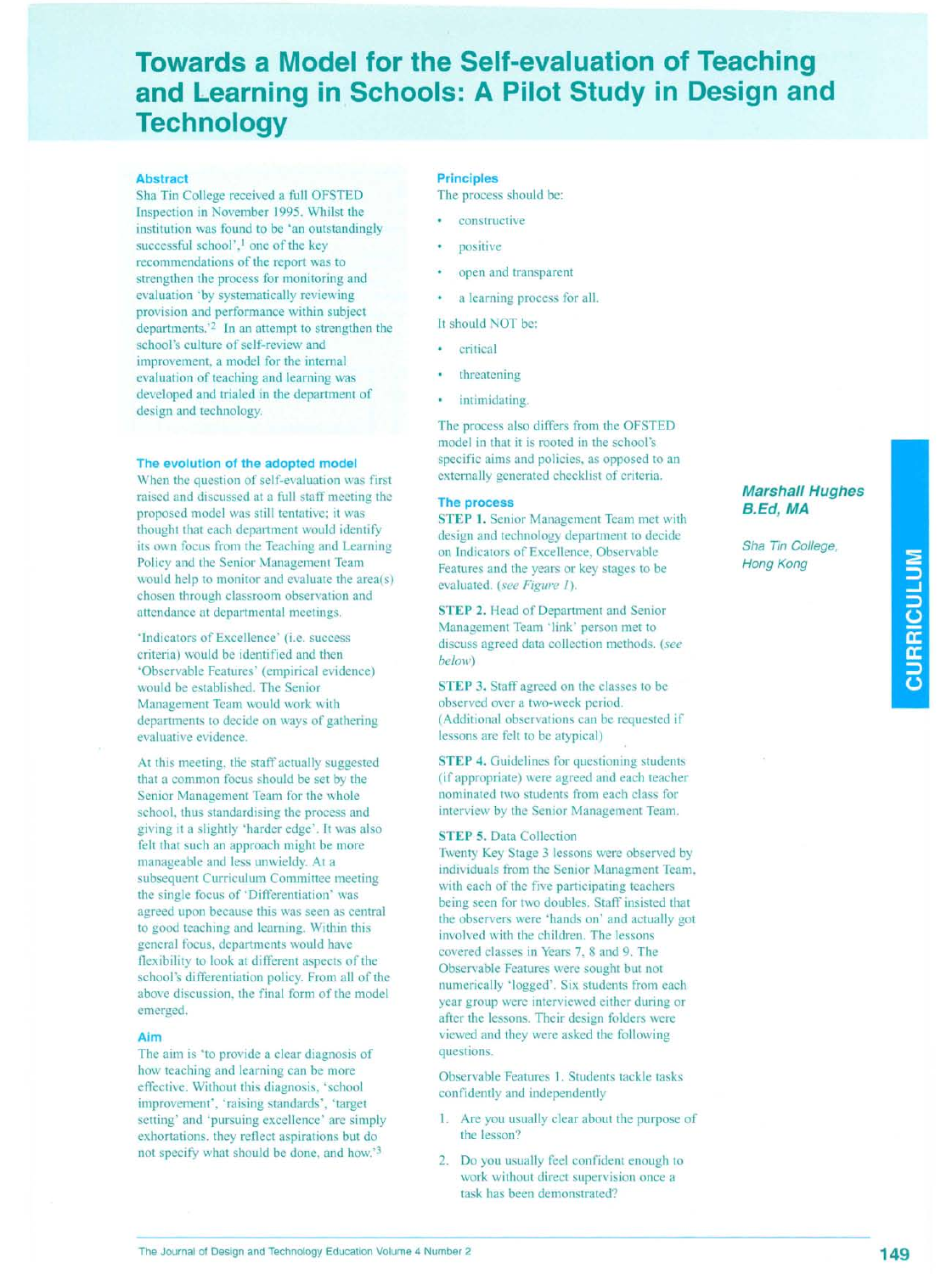# **Towards a Model for the Self-evaluation of Teaching and Learning** in. Schools: **A Pilot Study in Design and Technology**

### **Abstract**

Sha Tin College received a full OFSTED Inspection in November 1995. Whilst the institution was found to be 'an outstandingly successful school',<sup>1</sup> one of the key recommendations of the report was to strengthen the process for monitoring and evaluation 'by systematically reviewing provision and performance within subject departments.'2 In an attempt to strengthen the school's culture of self-review and improvement, a model for the internal evaluation of teaching and learning was developed and trialed in the department of design and technology.

## **The evolution of the adopted model**

When the question of self-evaluation was first raised and discussed at a full staff meeting the proposed model was still tentative; it was thought that each department would identify its own focus from the Teaching and Learning Policy and the Senior Management Team would help to monitor and evaluate the area(s) chosen through classroom observation and attendance at departmental meetings.

'Indicators of Excellence' (i.e. success criteria) would be identified and then 'Observable Features' (empirical evidence) would be established. The Senior Management Team would work with departments to decide on ways of gathering evaluative evidence.

At this meeting, the staff actually suggested that a common focus should be set by the Senior Management Team for the whole school, thus standardising the process and giving it a slightly 'harder edge'. It was also felt that such an approach might be more manageable and less unwieldy. At a subsequent Curriculum Committee meeting the single focus of 'Differentiation' was agreed upon because this was seen as central to good teaching and learning. Within this general focus, departments would have flexibility to look at different aspects of the school's differentiation policy. From all of the above discussion, the final form of the model emerged.

# **Aim**

The aim is 'to provide a clear diagnosis of how teaching and learning can be more effective. Without this diagnosis, 'school improvement', 'raising standards', 'target setting' and 'pursuing excellence' are simply exhortations. they reflect aspirations but do not specify what should be done, and how.'3

#### **Principles**

The process should be:

- constructive
- positive
- open and transparent
- a learning process for all.
- It should NOT be:
- critical
- threatening
- intimidating.

The process also differs from the OFSTED model in that it is rooted in the school's specific aims and policies, as opposed to an externally generated checklist of criteria.

#### **The process**

STEP 1. Senior Management Team met with design and technology department to decide on Indicators of Excellence, Observable Features and the years or key stages to be evaluated. *(see Figure 1).*

STEP 2. Head of Department and Senior Management Team 'link' person met to discuss agreed data collection methods. *(see below)*

STEP 3. Staff agreed on the classes to be observed over a two-week period. (Additional observations can be requested if lessons are felt to be atypical)

STEP 4. Guidelines for questioning students (if appropriate) were agreed and each teacher nominated two students from each class for interview by the Senior Management Team.

### STEP 5. Data Collection

Twenty Key Stage 3 lessons were observed by individuals from the Senior Managment Team, with each of the five participating teachers being seen for two doubles. Staff insisted that the observers were 'hands on' and actually got involved with the children. The lessons covered classes in Years 7, 8 and 9. The Observable Features were sought but not numerically 'logged'. Six students from each year group were interviewed either during or after the lessons. Their design folders were viewed and they were asked the following questions.

Observable Features 1. Students tackle tasks confidently and independently

- 1. Are you usually clear about the purpose of the lesson?
- 2. Do you usually feel confident enough to work without direct supervision once a task has been demonstrated?

# *Marshall Hughes a.Ed, MA*

*Sha Tin College, Hong Kong*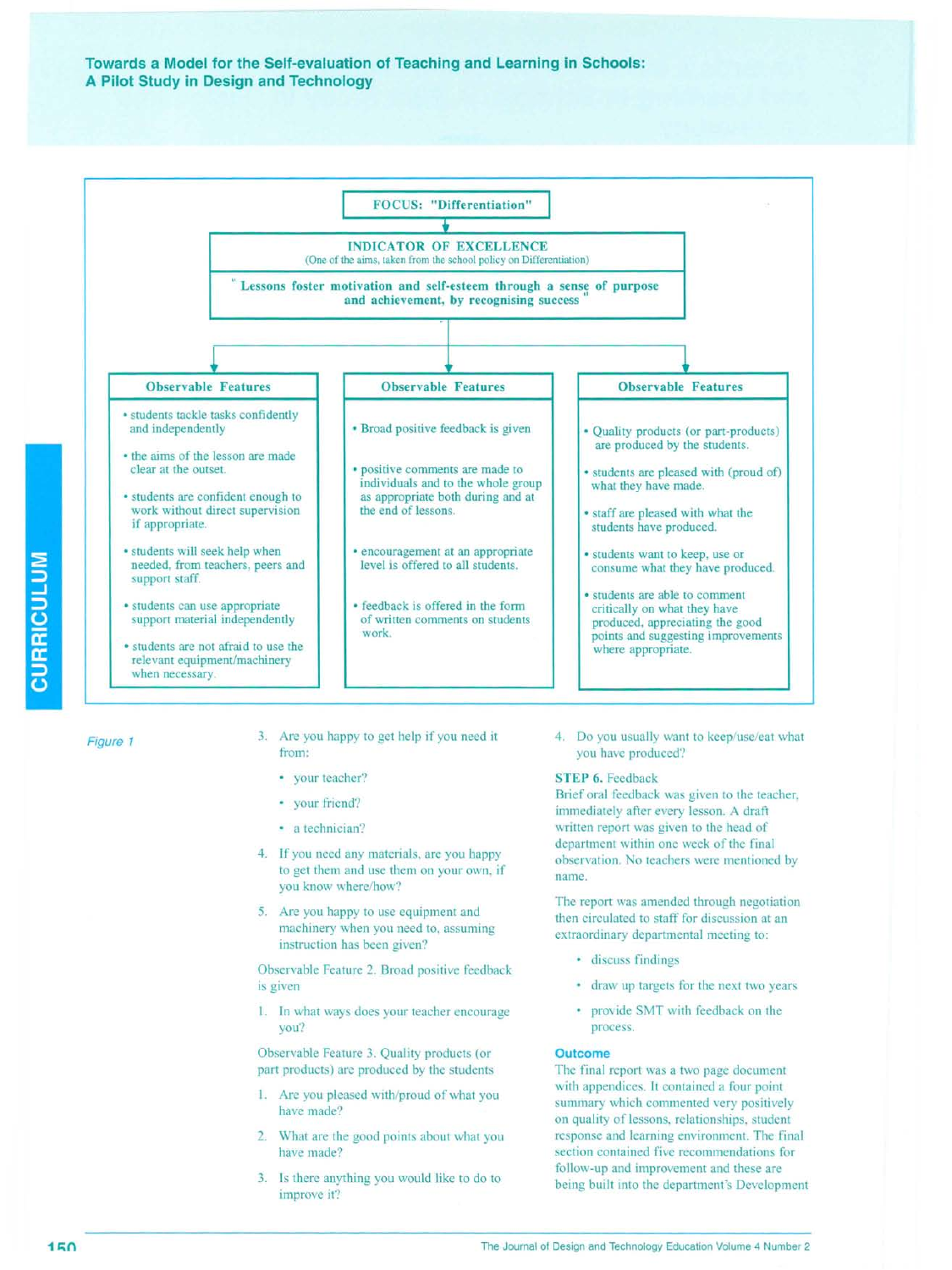# **Towards a Model for the Self-evaluation of Teaching and Learning in Schools: A Pilot Study in Design and Technology**



Figure 1

**CURRICULUM** 

- 3. Are you happy to get help if you need it from:
	- your teacher?
	- your friend?
	- · a technician?
- 4. If you need any materials, are you happy to get them and use them on your own, if you know where/how?
- 5. Are you happy to use equipment and machinery when you need to, assuming instruction has been given?

Observable Feature 2. Broad positive feedback is given

I. In what ways does your teacher encourage you?

Observable Feature 3. Quality products (or part products) are produced by the students

- 1. Are you pleased with/proud of what you have made?
- 2. What are the good points about what you have made?
- 3. Is there anything you would like to do to improve it?

4. Do you usually want to keep/use/eat what you have produced?

## STEP 6. Feedback

Brief oral feedback was given to the teacher, immediately after every lesson. A draft written report was given to the head of department within one week of the final observation. No teachers were mentioned by name.

The report was amended through negotiation then circulated to staff for discussion at an extraordinary departmental meeting to:

- discuss findings
- draw up targets for the next two years
- provide SMT with feedback on the process.

### **Outcome**

The final report was a two page document with appendices. It contained a four point summary which commented very positively on quality of lessons, relationships, student response and learning environment. The final section contained five recommendations for follow-up and improvement and these are being built into the department's Development